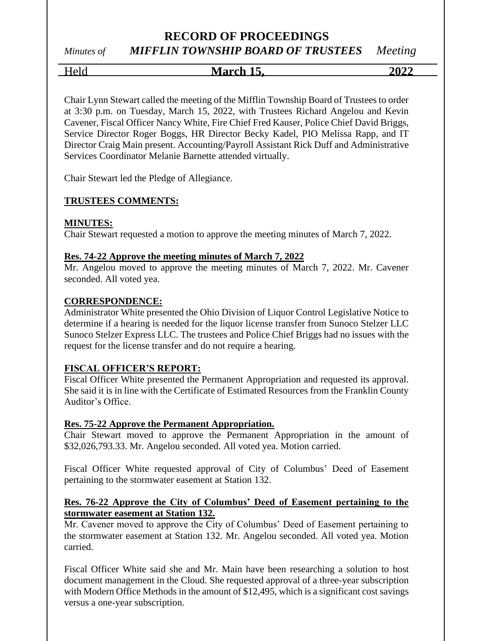# *Minutes of MIFFLIN TOWNSHIP BOARD OF TRUSTEES Meeting*

Held **March 15, 2022**

Chair Lynn Stewart called the meeting of the Mifflin Township Board of Trustees to order at 3:30 p.m. on Tuesday, March 15, 2022, with Trustees Richard Angelou and Kevin Cavener, Fiscal Officer Nancy White, Fire Chief Fred Kauser, Police Chief David Briggs, Service Director Roger Boggs, HR Director Becky Kadel, PIO Melissa Rapp, and IT Director Craig Main present. Accounting/Payroll Assistant Rick Duff and Administrative Services Coordinator Melanie Barnette attended virtually.

Chair Stewart led the Pledge of Allegiance.

### **TRUSTEES COMMENTS:**

#### **MINUTES:**

Chair Stewart requested a motion to approve the meeting minutes of March 7, 2022.

#### **Res. 74-22 Approve the meeting minutes of March 7, 2022**

Mr. Angelou moved to approve the meeting minutes of March 7, 2022. Mr. Cavener seconded. All voted yea.

#### **CORRESPONDENCE:**

Administrator White presented the Ohio Division of Liquor Control Legislative Notice to determine if a hearing is needed for the liquor license transfer from Sunoco Stelzer LLC Sunoco Stelzer Express LLC. The trustees and Police Chief Briggs had no issues with the request for the license transfer and do not require a hearing.

#### **FISCAL OFFICER'S REPORT:**

Fiscal Officer White presented the Permanent Appropriation and requested its approval. She said it is in line with the Certificate of Estimated Resources from the Franklin County Auditor's Office.

#### **Res. 75-22 Approve the Permanent Appropriation.**

Chair Stewart moved to approve the Permanent Appropriation in the amount of \$32,026,793.33. Mr. Angelou seconded. All voted yea. Motion carried.

Fiscal Officer White requested approval of City of Columbus' Deed of Easement pertaining to the stormwater easement at Station 132.

#### **Res. 76-22 Approve the City of Columbus' Deed of Easement pertaining to the stormwater easement at Station 132.**

Mr. Cavener moved to approve the City of Columbus' Deed of Easement pertaining to the stormwater easement at Station 132. Mr. Angelou seconded. All voted yea. Motion carried.

Fiscal Officer White said she and Mr. Main have been researching a solution to host document management in the Cloud. She requested approval of a three-year subscription with Modern Office Methods in the amount of \$12,495, which is a significant cost savings versus a one-year subscription.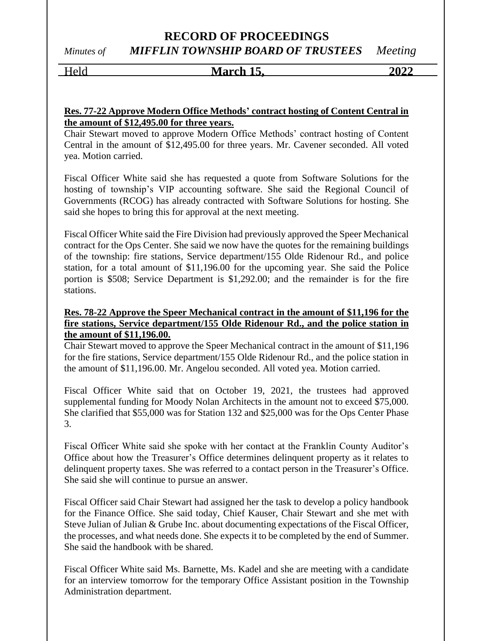# **RECORD OF PROCEEDINGS** *Minutes of MIFFLIN TOWNSHIP BOARD OF TRUSTEES Meeting*

# Held **March 15, 2022**

#### **Res. 77-22 Approve Modern Office Methods' contract hosting of Content Central in the amount of \$12,495.00 for three years.**

Chair Stewart moved to approve Modern Office Methods' contract hosting of Content Central in the amount of \$12,495.00 for three years. Mr. Cavener seconded. All voted yea. Motion carried.

Fiscal Officer White said she has requested a quote from Software Solutions for the hosting of township's VIP accounting software. She said the Regional Council of Governments (RCOG) has already contracted with Software Solutions for hosting. She said she hopes to bring this for approval at the next meeting.

Fiscal Officer White said the Fire Division had previously approved the Speer Mechanical contract for the Ops Center. She said we now have the quotes for the remaining buildings of the township: fire stations, Service department/155 Olde Ridenour Rd., and police station, for a total amount of \$11,196.00 for the upcoming year. She said the Police portion is \$508; Service Department is \$1,292.00; and the remainder is for the fire stations.

#### **Res. 78-22 Approve the Speer Mechanical contract in the amount of \$11,196 for the fire stations, Service department/155 Olde Ridenour Rd., and the police station in the amount of \$11,196.00.**

Chair Stewart moved to approve the Speer Mechanical contract in the amount of \$11,196 for the fire stations, Service department/155 Olde Ridenour Rd., and the police station in the amount of \$11,196.00. Mr. Angelou seconded. All voted yea. Motion carried.

Fiscal Officer White said that on October 19, 2021, the trustees had approved supplemental funding for Moody Nolan Architects in the amount not to exceed \$75,000. She clarified that \$55,000 was for Station 132 and \$25,000 was for the Ops Center Phase 3.

Fiscal Officer White said she spoke with her contact at the Franklin County Auditor's Office about how the Treasurer's Office determines delinquent property as it relates to delinquent property taxes. She was referred to a contact person in the Treasurer's Office. She said she will continue to pursue an answer.

Fiscal Officer said Chair Stewart had assigned her the task to develop a policy handbook for the Finance Office. She said today, Chief Kauser, Chair Stewart and she met with Steve Julian of Julian & Grube Inc. about documenting expectations of the Fiscal Officer, the processes, and what needs done. She expects it to be completed by the end of Summer. She said the handbook with be shared.

Fiscal Officer White said Ms. Barnette, Ms. Kadel and she are meeting with a candidate for an interview tomorrow for the temporary Office Assistant position in the Township Administration department.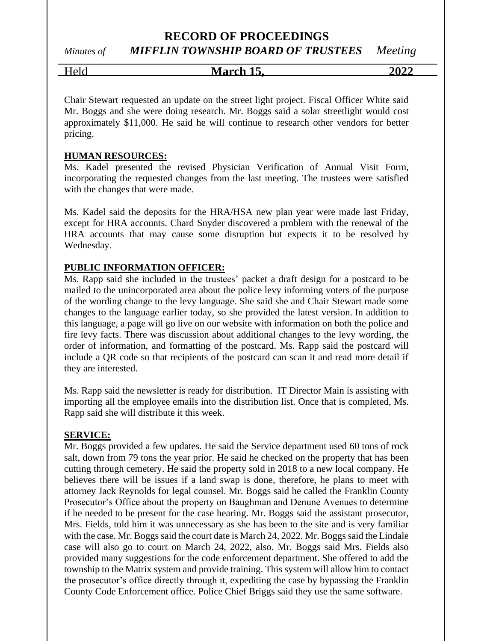*Minutes of MIFFLIN TOWNSHIP BOARD OF TRUSTEES Meeting*

Held **March 15, 2022**

Chair Stewart requested an update on the street light project. Fiscal Officer White said Mr. Boggs and she were doing research. Mr. Boggs said a solar streetlight would cost approximately \$11,000. He said he will continue to research other vendors for better pricing.

#### **HUMAN RESOURCES:**

Ms. Kadel presented the revised Physician Verification of Annual Visit Form, incorporating the requested changes from the last meeting. The trustees were satisfied with the changes that were made.

Ms. Kadel said the deposits for the HRA/HSA new plan year were made last Friday, except for HRA accounts. Chard Snyder discovered a problem with the renewal of the HRA accounts that may cause some disruption but expects it to be resolved by Wednesday.

#### **PUBLIC INFORMATION OFFICER:**

Ms. Rapp said she included in the trustees' packet a draft design for a postcard to be mailed to the unincorporated area about the police levy informing voters of the purpose of the wording change to the levy language. She said she and Chair Stewart made some changes to the language earlier today, so she provided the latest version. In addition to this language, a page will go live on our website with information on both the police and fire levy facts. There was discussion about additional changes to the levy wording, the order of information, and formatting of the postcard. Ms. Rapp said the postcard will include a QR code so that recipients of the postcard can scan it and read more detail if they are interested.

Ms. Rapp said the newsletter is ready for distribution. IT Director Main is assisting with importing all the employee emails into the distribution list. Once that is completed, Ms. Rapp said she will distribute it this week.

#### **SERVICE:**

Mr. Boggs provided a few updates. He said the Service department used 60 tons of rock salt, down from 79 tons the year prior. He said he checked on the property that has been cutting through cemetery. He said the property sold in 2018 to a new local company. He believes there will be issues if a land swap is done, therefore, he plans to meet with attorney Jack Reynolds for legal counsel. Mr. Boggs said he called the Franklin County Prosecutor's Office about the property on Baughman and Denune Avenues to determine if he needed to be present for the case hearing. Mr. Boggs said the assistant prosecutor, Mrs. Fields, told him it was unnecessary as she has been to the site and is very familiar with the case. Mr. Boggs said the court date is March 24, 2022. Mr. Boggs said the Lindale case will also go to court on March 24, 2022, also. Mr. Boggs said Mrs. Fields also provided many suggestions for the code enforcement department. She offered to add the township to the Matrix system and provide training. This system will allow him to contact the prosecutor's office directly through it, expediting the case by bypassing the Franklin County Code Enforcement office. Police Chief Briggs said they use the same software.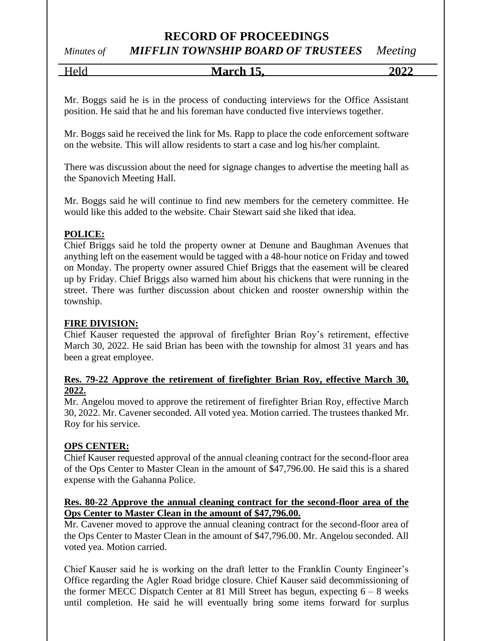# *Minutes of MIFFLIN TOWNSHIP BOARD OF TRUSTEES Meeting*

Held **March 15, 2022**

Mr. Boggs said he is in the process of conducting interviews for the Office Assistant position. He said that he and his foreman have conducted five interviews together.

Mr. Boggs said he received the link for Ms. Rapp to place the code enforcement software on the website. This will allow residents to start a case and log his/her complaint.

There was discussion about the need for signage changes to advertise the meeting hall as the Spanovich Meeting Hall.

Mr. Boggs said he will continue to find new members for the cemetery committee. He would like this added to the website. Chair Stewart said she liked that idea.

### **POLICE:**

Chief Briggs said he told the property owner at Denune and Baughman Avenues that anything left on the easement would be tagged with a 48-hour notice on Friday and towed on Monday. The property owner assured Chief Briggs that the easement will be cleared up by Friday. Chief Briggs also warned him about his chickens that were running in the street. There was further discussion about chicken and rooster ownership within the township.

### **FIRE DIVISION:**

Chief Kauser requested the approval of firefighter Brian Roy's retirement, effective March 30, 2022. He said Brian has been with the township for almost 31 years and has been a great employee.

### **Res. 79-22 Approve the retirement of firefighter Brian Roy, effective March 30, 2022.**

Mr. Angelou moved to approve the retirement of firefighter Brian Roy, effective March 30, 2022. Mr. Cavener seconded. All voted yea. Motion carried. The trustees thanked Mr. Roy for his service.

#### **OPS CENTER:**

Chief Kauser requested approval of the annual cleaning contract for the second-floor area of the Ops Center to Master Clean in the amount of \$47,796.00. He said this is a shared expense with the Gahanna Police.

#### **Res. 80-22 Approve the annual cleaning contract for the second-floor area of the Ops Center to Master Clean in the amount of \$47,796.00.**

Mr. Cavener moved to approve the annual cleaning contract for the second-floor area of the Ops Center to Master Clean in the amount of \$47,796.00. Mr. Angelou seconded. All voted yea. Motion carried.

Chief Kauser said he is working on the draft letter to the Franklin County Engineer's Office regarding the Agler Road bridge closure. Chief Kauser said decommissioning of the former MECC Dispatch Center at 81 Mill Street has begun, expecting  $6 - 8$  weeks until completion. He said he will eventually bring some items forward for surplus